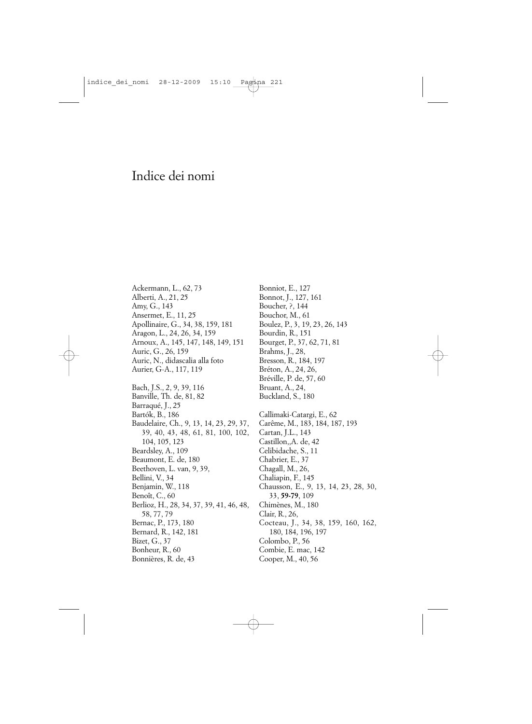## Indice dei nomi

Ackermann, L., 62, 73 Alberti, A., 21, 25 Amy, G., 143 Ansermet, E., 11, 25 Apollinaire, G., 34, 38, 159, 181 Aragon, L., 24, 26, 34, 159 Arnoux, A., 145, 147, 148, 149, 151 Auric, G., 26, 159 Auric, N., didascalia alla foto Aurier, G-A., 117, 119 Bach, J.S., 2, 9, 39, 116 Banville, Th. de, 81, 82 Barraqué, J., 25 Bartók, B., 186 Baudelaire, Ch., 9, 13, 14, 23, 29, 37, 39, 40, 43, 48, 61, 81, 100, 102, 104, 105, 123 Beardsley, A., 109 Beaumont, E. de, 180 Beethoven, L. van, 9, 39, Bellini, V., 34 Benjamin, W., 118 Benoît, C., 60 Berlioz, H., 28, 34, 37, 39, 41, 46, 48, 58, 77, 79 Bernac, P., 173, 180 Bernard, R., 142, 181 Bizet, G., 37 Bonheur, R., 60 Bonnières, R. de, 43

Bonniot, E., 127 Bonnot, J., 127, 161 Boucher, ?, 144 Bouchor, M., 61 Boulez, P., 3, 19, 23, 26, 143 Bourdin, R., 151 Bourget, P., 37, 62, 71, 81 Brahms, J., 28, Bresson, R., 184, 197 Bréton, A., 24, 26, Bréville, P. de, 57, 60 Bruant, A., 24, Buckland, S., 180 Callimaki-Catargi, E., 62 Carême, M., 183, 184, 187, 193 Cartan, J.L., 143 Castillon,,A. de, 42 Celibidache, S., 11 Chabrier, E., 37 Chagall, M., 26, Chaliapin, F., 145 Chausson, E., 9, 13, 14, 23, 28, 30, 33, **59-79**, 109 Chimènes, M., 180 Clair, R., 26, Cocteau, J., 34, 38, 159, 160, 162, 180, 184, 196, 197 Colombo, P., 56 Combie, E. mac, 142 Cooper, M., 40, 56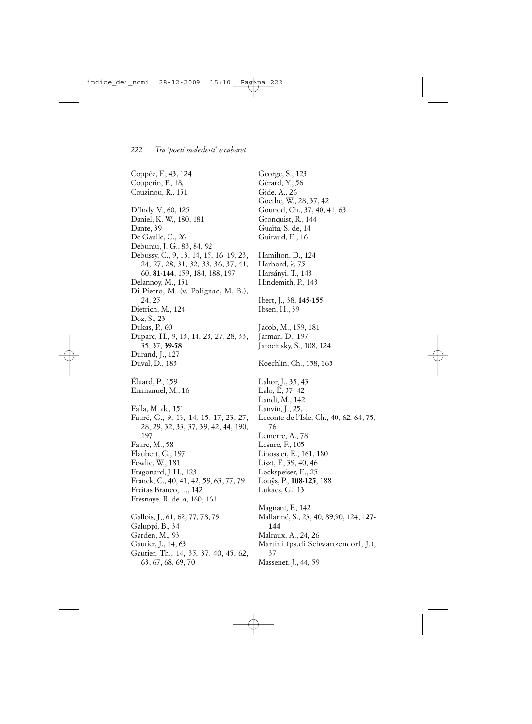Coppée, F., 43, 124 Couperin, F., 18, Couzinou, R., 151 D'Indy, V., 60, 125 Daniel, K. W., 180, 181 Dante, 39 De Gaulle, C., 26 Deburau, J. G., 83, 84, 92 Debussy, C., 9, 13, 14, 15, 16, 19, 23, 24, 27, 28, 31, 32, 33, 36, 37, 41, 60, **81-144**, 159, 184, 188, 197 Delannoy, M., 151 Di Pietro, M. (v. Polignac, M.-B.), 24, 25 Dietrich, M., 124 Doz, S., 23 Dukas, P., 60 Duparc, H., 9, 13, 14, 23, 27, 28, 33, 35, 37, **39-58** Durand, J., 127 Duval, D., 183 Éluard, P., 159 Emmanuel, M., 16 Falla, M. de, 151 Fauré, G., 9, 13, 14, 15, 17, 23, 27, 28, 29, 32, 33, 37, 39, 42, 44, 190, 197 Faure, M., 58 Flaubert, G., 197 Fowlie, W., 181 Fragonard, J-H., 123 Franck, C., 40, 41, 42, 59, 63, 77, 79 Freitas Branco, L., 142 Fresnaye. R. de la, 160, 161 Gallois, J,, 61, 62, 77, 78, 79 Galuppi, B., 34 Garden, M., 93 Gautier, J., 14, 63 Gautier, Th., 14, 35, 37, 40, 45, 62, 63, 67, 68, 69, 70

George, S., 123 Gérard, Y., 56 Gide, A., 26 Goethe, W., 28, 37, 42 Gounod, Ch., 37, 40, 41, 63 Gronquist, R., 144 Guaïta, S. de, 14 Guiraud, E., 16 Hamilton, D., 124 Harbord, ?, 75 Harsányi, T., 143 Hindemith, P., 143 Ibert, J., 38, **145-155** Ibsen, H., 39 Jacob, M., 159, 181 Jarman, D., 197 Jarocinsky, S., 108, 124 Koechlin, Ch., 158, 165 Lahor, J., 35, 43 Lalo, È, 37, 42 Landi, M., 142 Lanvin, J., 25, Leconte de l'Isle, Ch., 40, 62, 64, 75, 76 Lemerre, A., 78 Lesure, F., 105 Linossier, R., 161, 180 Liszt, F., 39, 40, 46 Lockspeiser, E., 25 Louÿs, P., **108-125**, 188 Lukacs, G., 13 Magnani, F., 142 Mallarmé, S., 23, 40, 89,90, 124, **127- 144** Malraux, A., 24, 26 Martini (ps.di Schwartzendorf, J.), 37 Massenet, J., 44, 59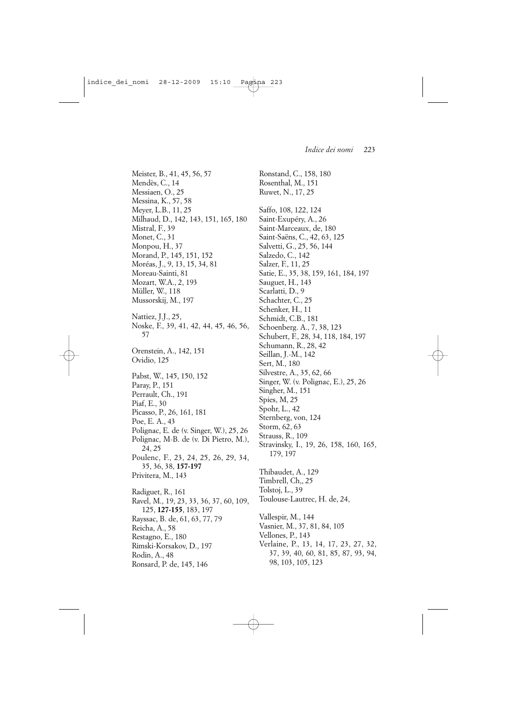Meister, B., 41, 45, 56, 57 Mendès, C., 14 Messiaen, O., 25 Messina, K., 57, 58 Meyer, L.B., 11, 25 Milhaud, D., 142, 143, 151, 165, 180 Mistral, F., 39 Monet, C., 31 Monpou, H., 37 Morand, P., 145, 151, 152 Moréas, J., 9, 13, 15, 34, 81 Moreau-Sainti, 81 Mozart, W.A., 2, 193 Müller, W., 118 Mussorskij, M., 197 Nattiez, J.J., 25, Noske, F., 39, 41, 42, 44, 45, 46, 56, 57 Orenstein, A., 142, 151 Ovidio, 125 Pabst, W., 145, 150, 152 Paray, P., 151 Perrault, Ch., 191 Piaf, E., 30 Picasso, P., 26, 161, 181 Poe, E. A., 43 Polignac, E. de (v. Singer, W.), 25, 26 Polignac, M-B. de (v. Di Pietro, M.), 24, 25 Poulenc, F., 23, 24, 25, 26, 29, 34, 35, 36, 38, **157-197** Privitera, M., 143 Radiguet, R., 161 Ravel, M., 19, 23, 33, 36, 37, 60, 109, 125, **127-155**, 183, 197 Rayssac, B. de, 61, 63, 77, 79 Reicha, A., 58 Restagno, E., 180 Rimski-Korsakov, D., 197 Rodin, A., 48 Ronsard, P. de, 145, 146

Ronstand, C., 158, 180 Rosenthal, M., 151 Ruwet, N., 17, 25 Saffo, 108, 122, 124 Saint-Exupéry, A., 26 Saint-Marceaux, de, 180 Saint-Saëns, C., 42, 63, 125 Salvetti, G., 25, 56, 144 Salzedo, C., 142 Salzer, F., 11, 25 Satie, E., 35, 38, 159, 161, 184, 197 Sauguet, H., 143 Scarlatti, D., 9 Schachter, C., 25 Schenker, H., 11 Schmidt, C.B., 181 Schoenberg. A., 7, 38, 123 Schubert, F., 28, 34, 118, 184, 197 Schumann, R., 28, 42 Seillan, J.-M., 142 Sert, M., 180 Silvestre, A., 35, 62, 66 Singer, W. (v. Polignac, E.), 25, 26 Singher, M., 151 Spies, M, 25 Spohr, L., 42 Sternberg, von, 124 Storm, 62, 63 Strauss, R., 109 Stravinsky, I., 19, 26, 158, 160, 165, 179, 197 Thibaudet, A., 129 Timbrell, Ch,, 25 Tolstoj, L., 39 Toulouse-Lautrec, H. de, 24, Vallespir, M., 144 Vasnier, M., 37, 81, 84, 105 Vellones, P., 143 Verlaine, P., 13, 14, 17, 23, 27, 32, 37, 39, 40, 60, 81, 85, 87, 93, 94, 98, 103, 105, 123